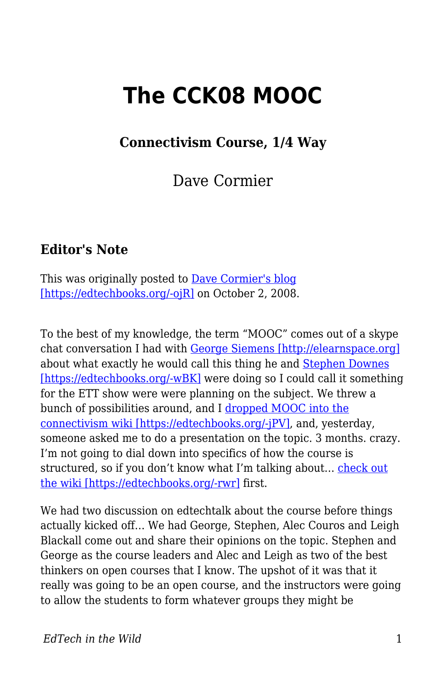# **The CCK08 MOOC**

### **Connectivism Course, 1/4 Way**

Dave Cormier

### **Editor's Note**

This was originally posted to <u>Dave Cormier's blog</u> [\[https://edtechbooks.org/-ojR\]](http://davecormier.com/edblog/2008/10/02/the-cck08-mooc-connectivism-course-14-way/) on October 2, 2008.

To the best of my knowledge, the term "MOOC" comes out of a skype chat conversation I had with [George Siemens \[http://elearnspace.org\]](http://elearnspace.org) about what exactly he would call this thing he and [Stephen Downes](http://halfanhour.blogspot.com/) [\[https://edtechbooks.org/-wBK\]](http://halfanhour.blogspot.com/) were doing so I could call it something for the ETT show were were planning on the subject. We threw a bunch of possibilities around, and I [dropped MOOC into the](http://ltc.umanitoba.ca:83/wiki/index.php?title=Connectivism_Planning_Page&diff=18531&oldid=18347) [connectivism wiki \[https://edtechbooks.org/-jPV\]](http://ltc.umanitoba.ca:83/wiki/index.php?title=Connectivism_Planning_Page&diff=18531&oldid=18347), and, yesterday, someone asked me to do a presentation on the topic. 3 months. crazy. I'm not going to dial down into specifics of how the course is structured, so if you don't know what I'm talking about… [check out](http://ltc.umanitoba.ca:83/wiki/Connectivism) [the wiki \[https://edtechbooks.org/-rwr\]](http://ltc.umanitoba.ca:83/wiki/Connectivism) first.

We had two discussion on edtechtalk about the course before things actually kicked off… We had George, Stephen, Alec Couros and Leigh Blackall come out and share their opinions on the topic. Stephen and George as the course leaders and Alec and Leigh as two of the best thinkers on open courses that I know. The upshot of it was that it really was going to be an open course, and the instructors were going to allow the students to form whatever groups they might be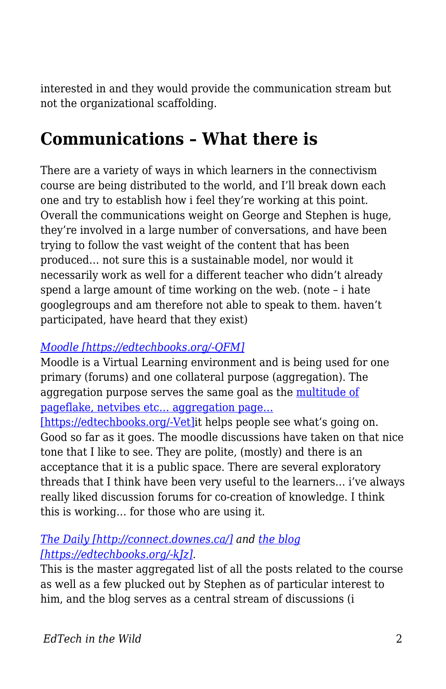interested in and they would provide the communication stream but not the organizational scaffolding.

## **Communications – What there is**

There are a variety of ways in which learners in the connectivism course are being distributed to the world, and I'll break down each one and try to establish how i feel they're working at this point. Overall the communications weight on George and Stephen is huge, they're involved in a large number of conversations, and have been trying to follow the vast weight of the content that has been produced… not sure this is a sustainable model, nor would it necessarily work as well for a different teacher who didn't already spend a large amount of time working on the web. (note – i hate googlegroups and am therefore not able to speak to them. haven't participated, have heard that they exist)

#### *[Moodle \[https://edtechbooks.org/-QFM\]](http://ltc.umanitoba.ca/moodle/course/view.php?id=20)*

Moodle is a Virtual Learning environment and is being used for one primary (forums) and one collateral purpose (aggregation). The aggregation purpose serves the same goal as the [multitude of](http://ltc.umanitoba.ca/connectivism/?page_id=13) [pageflake, netvibes etc… aggregation page…](http://ltc.umanitoba.ca/connectivism/?page_id=13)

[\[https://edtechbooks.org/-Vet\]i](http://ltc.umanitoba.ca/connectivism/?page_id=13)t helps people see what's going on. Good so far as it goes. The moodle discussions have taken on that nice tone that I like to see. They are polite, (mostly) and there is an acceptance that it is a public space. There are several exploratory threads that I think have been very useful to the learners… i've always really liked discussion forums for co-creation of knowledge. I think this is working… for those who are using it.

#### *[The Daily \[http://connect.downes.ca/\]](http://connect.downes.ca/) and [the blog](http://ltc.umanitoba.ca/connectivism/) [\[https://edtechbooks.org/-kJz\]](http://ltc.umanitoba.ca/connectivism/).*

This is the master aggregated list of all the posts related to the course as well as a few plucked out by Stephen as of particular interest to him, and the blog serves as a central stream of discussions (i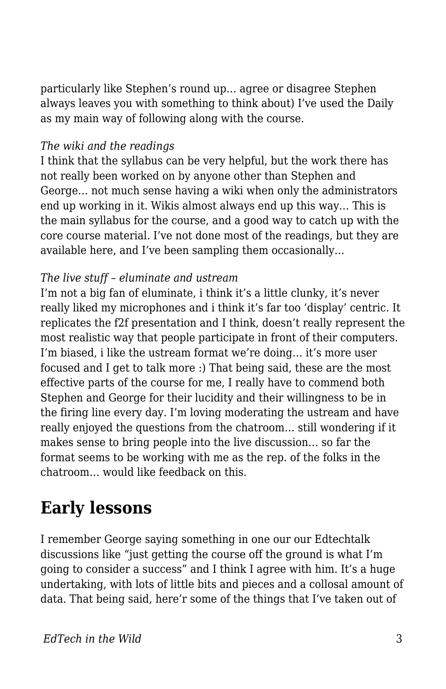particularly like Stephen's round up… agree or disagree Stephen always leaves you with something to think about) I've used the Daily as my main way of following along with the course.

#### *The wiki and the readings*

I think that the syllabus can be very helpful, but the work there has not really been worked on by anyone other than Stephen and George… not much sense having a wiki when only the administrators end up working in it. Wikis almost always end up this way… This is the main syllabus for the course, and a good way to catch up with the core course material. I've not done most of the readings, but they are available here, and I've been sampling them occasionally…

#### *The live stuff – eluminate and ustream*

I'm not a big fan of eluminate, i think it's a little clunky, it's never really liked my microphones and i think it's far too 'display' centric. It replicates the f2f presentation and I think, doesn't really represent the most realistic way that people participate in front of their computers. I'm biased, i like the ustream format we're doing… it's more user focused and I get to talk more :) That being said, these are the most effective parts of the course for me, I really have to commend both Stephen and George for their lucidity and their willingness to be in the firing line every day. I'm loving moderating the ustream and have really enjoyed the questions from the chatroom… still wondering if it makes sense to bring people into the live discussion… so far the format seems to be working with me as the rep. of the folks in the chatroom… would like feedback on this.

# **Early lessons**

I remember George saying something in one our our Edtechtalk discussions like "just getting the course off the ground is what I'm going to consider a success" and I think I agree with him. It's a huge undertaking, with lots of little bits and pieces and a collosal amount of data. That being said, here'r some of the things that I've taken out of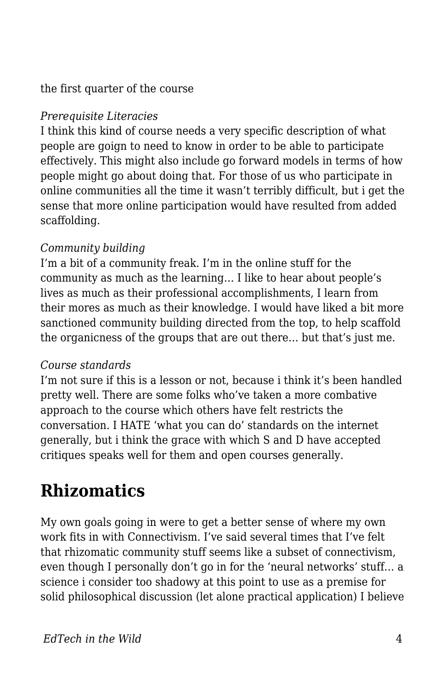#### the first quarter of the course

#### *Prerequisite Literacies*

I think this kind of course needs a very specific description of what people are goign to need to know in order to be able to participate effectively. This might also include go forward models in terms of how people might go about doing that. For those of us who participate in online communities all the time it wasn't terribly difficult, but i get the sense that more online participation would have resulted from added scaffolding.

#### *Community building*

I'm a bit of a community freak. I'm in the online stuff for the community as much as the learning… I like to hear about people's lives as much as their professional accomplishments, I learn from their mores as much as their knowledge. I would have liked a bit more sanctioned community building directed from the top, to help scaffold the organicness of the groups that are out there… but that's just me.

#### *Course standards*

I'm not sure if this is a lesson or not, because i think it's been handled pretty well. There are some folks who've taken a more combative approach to the course which others have felt restricts the conversation. I HATE 'what you can do' standards on the internet generally, but i think the grace with which S and D have accepted critiques speaks well for them and open courses generally.

### **Rhizomatics**

My own goals going in were to get a better sense of where my own work fits in with Connectivism. I've said several times that I've felt that rhizomatic community stuff seems like a subset of connectivism, even though I personally don't go in for the 'neural networks' stuff… a science i consider too shadowy at this point to use as a premise for solid philosophical discussion (let alone practical application) I believe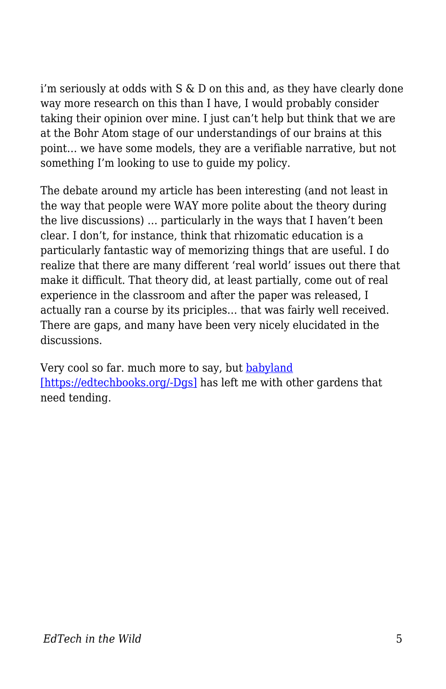i'm seriously at odds with  $S \& D$  on this and, as they have clearly done way more research on this than I have, I would probably consider taking their opinion over mine. I just can't help but think that we are at the Bohr Atom stage of our understandings of our brains at this point… we have some models, they are a verifiable narrative, but not something I'm looking to use to guide my policy.

The debate around my article has been interesting (and not least in the way that people were WAY more polite about the theory during the live discussions) … particularly in the ways that I haven't been clear. I don't, for instance, think that rhizomatic education is a particularly fantastic way of memorizing things that are useful. I do realize that there are many different 'real world' issues out there that make it difficult. That theory did, at least partially, come out of real experience in the classroom and after the paper was released, I actually ran a course by its priciples… that was fairly well received. There are gaps, and many have been very nicely elucidated in the discussions.

Very cool so far. much more to say, but [babyland](http://flickr.com/photos/opoe/2867111729/in/set-72157607334596719/) [\[https://edtechbooks.org/-Dgs\]](http://flickr.com/photos/opoe/2867111729/in/set-72157607334596719/) has left me with other gardens that need tending.